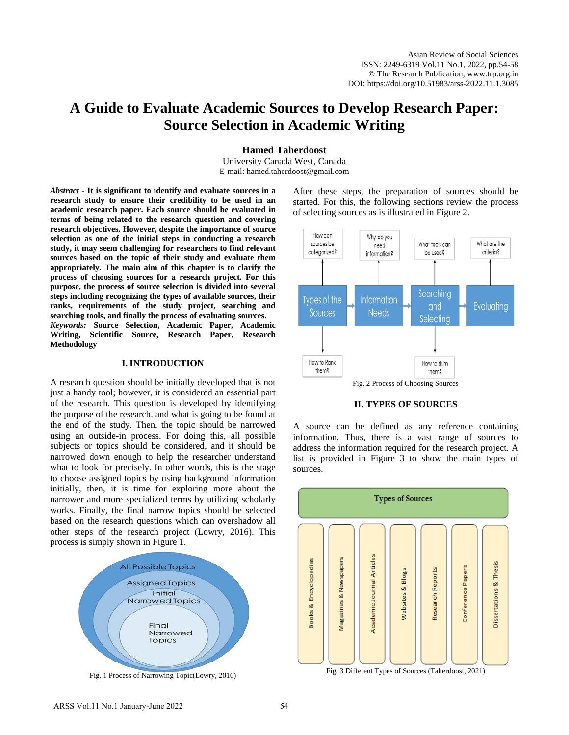# **A Guide to Evaluate Academic Sources to Develop Research Paper: Source Selection in Academic Writing**

**Hamed Taherdoost**

University Canada West, Canada E-mail: hamed.taherdoost@gmail.com

*Abstract -* **It is significant to identify and evaluate sources in a research study to ensure their credibility to be used in an academic research paper. Each source should be evaluated in terms of being related to the research question and covering research objectives. However, despite the importance of source selection as one of the initial steps in conducting a research study, it may seem challenging for researchers to find relevant sources based on the topic of their study and evaluate them appropriately. The main aim of this chapter is to clarify the process of choosing sources for a research project. For this purpose, the process of source selection is divided into several steps including recognizing the types of available sources, their ranks, requirements of the study project, searching and searching tools, and finally the process of evaluating sources.** 

*Keywords:* **Source Selection, Academic Paper, Academic Writing, Scientific Source, Research Paper, Research Methodology** 

## **I. INTRODUCTION**

A research question should be initially developed that is not just a handy tool; however, it is considered an essential part of the research. This question is developed by identifying the purpose of the research, and what is going to be found at the end of the study. Then, the topic should be narrowed using an outside-in process. For doing this, all possible subjects or topics should be considered, and it should be narrowed down enough to help the researcher understand what to look for precisely. In other words, this is the stage to choose assigned topics by using background information initially, then, it is time for exploring more about the narrower and more specialized terms by utilizing scholarly works. Finally, the final narrow topics should be selected based on the research questions which can overshadow all other steps of the research project (Lowry, 2016). This process is simply shown in Figure 1.



Fig. 1 Process of Narrowing Topic(Lowry, 2016)

After these steps, the preparation of sources should be started. For this, the following sections review the process of selecting sources as is illustrated in Figure 2.



**II. TYPES OF SOURCES**

A source can be defined as any reference containing information. Thus, there is a vast range of sources to address the information required for the research project. A list is provided in Figure 3 to show the main types of sources.



Fig. 3 Different Types of Sources (Taherdoost, 2021)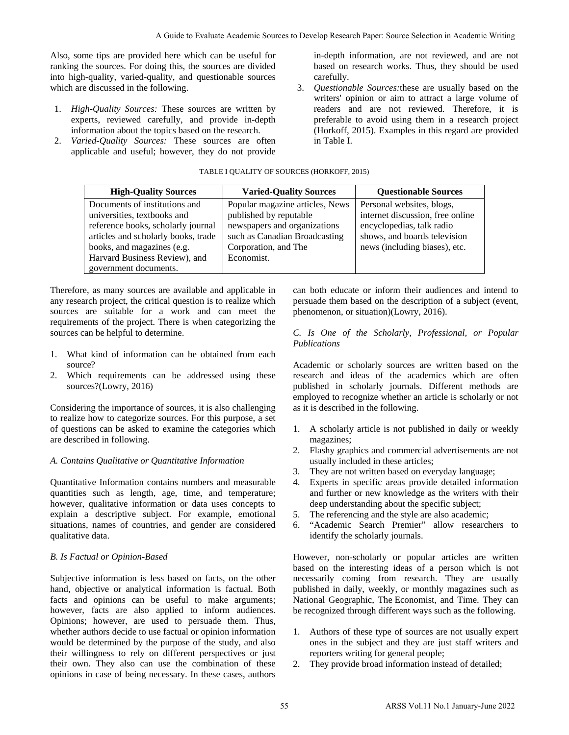Also, some tips are provided here which can be useful for ranking the sources. For doing this, the sources are divided into high-quality, varied-quality, and questionable sources which are discussed in the following.

- 1. *High-Quality Sources:* These sources are written by experts, reviewed carefully, and provide in-depth information about the topics based on the research.
- 2. *Varied-Quality Sources:* These sources are often applicable and useful; however, they do not provide

#### TABLE I QUALITY OF SOURCES (HORKOFF, 2015)

|                                                                                                                                                                                                                                                                                                                                                                                                                                                              |                                                                                                                                                                  |                                                                                                                                                             |                                                                                                                                                                                                                                                                                                                                                                                                                           | A Guide to Evaluate Academic Sources to Develop Research Paper: Source Selection in Academic Writing                                                                                                                   |  |  |
|--------------------------------------------------------------------------------------------------------------------------------------------------------------------------------------------------------------------------------------------------------------------------------------------------------------------------------------------------------------------------------------------------------------------------------------------------------------|------------------------------------------------------------------------------------------------------------------------------------------------------------------|-------------------------------------------------------------------------------------------------------------------------------------------------------------|---------------------------------------------------------------------------------------------------------------------------------------------------------------------------------------------------------------------------------------------------------------------------------------------------------------------------------------------------------------------------------------------------------------------------|------------------------------------------------------------------------------------------------------------------------------------------------------------------------------------------------------------------------|--|--|
| me tips are provided here which can be useful for<br>he sources. For doing this, the sources are divided<br>quality, varied-quality, and questionable sources<br>e discussed in the following.<br>h-Quality Sources: These sources are written by<br>erts, reviewed carefully, and provide in-depth<br>brmation about the topics based on the research.<br>ried-Quality Sources: These sources are often<br>licable and useful; however, they do not provide |                                                                                                                                                                  |                                                                                                                                                             | in-depth information, are not reviewed, and are no<br>based on research works. Thus, they should be use<br>carefully.<br>Questionable Sources: these are usually based on th<br>3.<br>writers' opinion or aim to attract a large volume o<br>readers and are not reviewed. Therefore, it i<br>preferable to avoid using them in a research project<br>(Horkoff, 2015). Examples in this regard are provide<br>in Table I. |                                                                                                                                                                                                                        |  |  |
|                                                                                                                                                                                                                                                                                                                                                                                                                                                              | TABLE I QUALITY OF SOURCES (HORKOFF, 2015)                                                                                                                       |                                                                                                                                                             |                                                                                                                                                                                                                                                                                                                                                                                                                           |                                                                                                                                                                                                                        |  |  |
| <b>High-Quality Sources</b>                                                                                                                                                                                                                                                                                                                                                                                                                                  | <b>Varied-Quality Sources</b>                                                                                                                                    |                                                                                                                                                             |                                                                                                                                                                                                                                                                                                                                                                                                                           | <b>Questionable Sources</b>                                                                                                                                                                                            |  |  |
| Documents of institutions and<br>universities, textbooks and<br>reference books, scholarly journal<br>articles and scholarly books, trade<br>books, and magazines (e.g.<br>Harvard Business Review), and<br>government documents.                                                                                                                                                                                                                            | Popular magazine articles, News<br>published by reputable<br>newspapers and organizations<br>such as Canadian Broadcasting<br>Corporation, and The<br>Economist. |                                                                                                                                                             |                                                                                                                                                                                                                                                                                                                                                                                                                           | Personal websites, blogs,<br>internet discussion, free online<br>encyclopedias, talk radio<br>shows, and boards television<br>news (including biases), etc.                                                            |  |  |
| e, as many sources are available and applicable in<br>arch project, the critical question is to realize which<br>are suitable for a work and can meet the<br>ents of the project. There is when categorizing the<br>an be helpful to determine.                                                                                                                                                                                                              |                                                                                                                                                                  |                                                                                                                                                             | Publications                                                                                                                                                                                                                                                                                                                                                                                                              | can both educate or inform their audiences and intend t<br>persuade them based on the description of a subject (even<br>phenomenon, or situation)(Lowry, 2016).<br>C. Is One of the Scholarly, Professional, or Popula |  |  |
| it kind of information can be obtained from each<br>ce?<br>ch requirements can be addressed using these<br>ces?(Lowry, 2016)                                                                                                                                                                                                                                                                                                                                 |                                                                                                                                                                  |                                                                                                                                                             | Academic or scholarly sources are written based on th<br>research and ideas of the academics which are often<br>published in scholarly journals. Different methods ar<br>employed to recognize whether an article is scholarly or no                                                                                                                                                                                      |                                                                                                                                                                                                                        |  |  |
| ing the importance of sources, it is also challenging<br>how to categorize sources. For this purpose, a set<br>ons can be asked to examine the categories which<br>ibed in following.<br>ins Qualitative or Quantitative Information                                                                                                                                                                                                                         |                                                                                                                                                                  | 1.                                                                                                                                                          | magazines;                                                                                                                                                                                                                                                                                                                                                                                                                | as it is described in the following.<br>A scholarly article is not published in daily or weekl                                                                                                                         |  |  |
|                                                                                                                                                                                                                                                                                                                                                                                                                                                              |                                                                                                                                                                  | Flashy graphics and commercial advertisements are no<br>2.<br>usually included in these articles;<br>3.<br>They are not written based on everyday language; |                                                                                                                                                                                                                                                                                                                                                                                                                           |                                                                                                                                                                                                                        |  |  |
| tive Information contains numbers and measurable<br>s such as length, age, time, and temperature;<br>qualitative information or data uses concepts to<br>a descriptive subject. For example, emotional<br>s, names of countries, and gender are considered<br>e data.                                                                                                                                                                                        |                                                                                                                                                                  |                                                                                                                                                             | Experts in specific areas provide detailed information<br>4.<br>and further or new knowledge as the writers with their<br>deep understanding about the specific subject;<br>The referencing and the style are also academic;<br>5.<br>"Academic Search Premier" allow researchers to<br>6.<br>identify the scholarly journals.                                                                                            |                                                                                                                                                                                                                        |  |  |
| tual or Opinion-Based                                                                                                                                                                                                                                                                                                                                                                                                                                        |                                                                                                                                                                  | However, non-scholarly or popular articles are writte<br>based on the interesting ideas of a person which is no                                             |                                                                                                                                                                                                                                                                                                                                                                                                                           |                                                                                                                                                                                                                        |  |  |
| e information is less based on facts, on the other<br>jective or analytical information is factual. Both<br>d opinions can be useful to make arguments;<br>facts are also applied to inform audiences.<br>; however, are used to persuade them. Thus,<br>authors decide to use factual or opinion information                                                                                                                                                |                                                                                                                                                                  |                                                                                                                                                             | necessarily coming from research. They are usuall<br>published in daily, weekly, or monthly magazines such a<br>National Geographic, The Economist, and Time. They ca<br>be recognized through different ways such as the following.                                                                                                                                                                                      |                                                                                                                                                                                                                        |  |  |
| e determined by the purpose of the study, and also<br>lingness to rely on different perspectives or just<br>n. They also can use the combination of these<br>in case of being necessary. In these cases, authors                                                                                                                                                                                                                                             |                                                                                                                                                                  | 1.<br>2.                                                                                                                                                    |                                                                                                                                                                                                                                                                                                                                                                                                                           | Authors of these type of sources are not usually experience<br>ones in the subject and they are just staff writers and<br>reporters writing for general people;<br>They provide broad information instead of detailed; |  |  |
|                                                                                                                                                                                                                                                                                                                                                                                                                                                              |                                                                                                                                                                  | 55                                                                                                                                                          |                                                                                                                                                                                                                                                                                                                                                                                                                           | ARSS Vol.11 No.1 January-June 2022                                                                                                                                                                                     |  |  |

Therefore, as many sources are available and applicable in any research project, the critical question is to realize which sources are suitable for a work and can meet the requirements of the project. There is when categorizing the sources can be helpful to determine.

- 1. What kind of information can be obtained from each source?
- 2. Which requirements can be addressed using these sources?(Lowry, 2016)

Considering the importance of sources, it is also challenging to realize how to categorize sources. For this purpose, a set of questions can be asked to examine the categories which are described in following.

# *A. Contains Qualitative or Quantitative Information*

Quantitative Information contains numbers and measurable quantities such as length, age, time, and temperature; however, qualitative information or data uses concepts to explain a descriptive subject. For example, emotional situations, names of countries, and gender are considered qualitative data.

# *B. Is Factual or Opinion-Based*

Subjective information is less based on facts, on the other hand, objective or analytical information is factual. Both facts and opinions can be useful to make arguments; however, facts are also applied to inform audiences. Opinions; however, are used to persuade them. Thus, whether authors decide to use factual or opinion information would be determined by the purpose of the study, and also their willingness to rely on different perspectives or just their own. They also can use the combination of these opinions in case of being necessary. In these cases, authors

## *C. Is One of the Scholarly, Professional, or Popular Publications*

- 1. A scholarly article is not published in daily or weekly magazines;
- 2. Flashy graphics and commercial advertisements are not usually included in these articles;
- 3. They are not written based on everyday language;
- 4. Experts in specific areas provide detailed information and further or new knowledge as the writers with their deep understanding about the specific subject;
- 5. The referencing and the style are also academic;
- 6. "Academic Search Premier" allow researchers to identify the scholarly journals.

- 1. Authors of these type of sources are not usually expert ones in the subject and they are just staff writers and reporters writing for general people;
- 2. They provide broad information instead of detailed;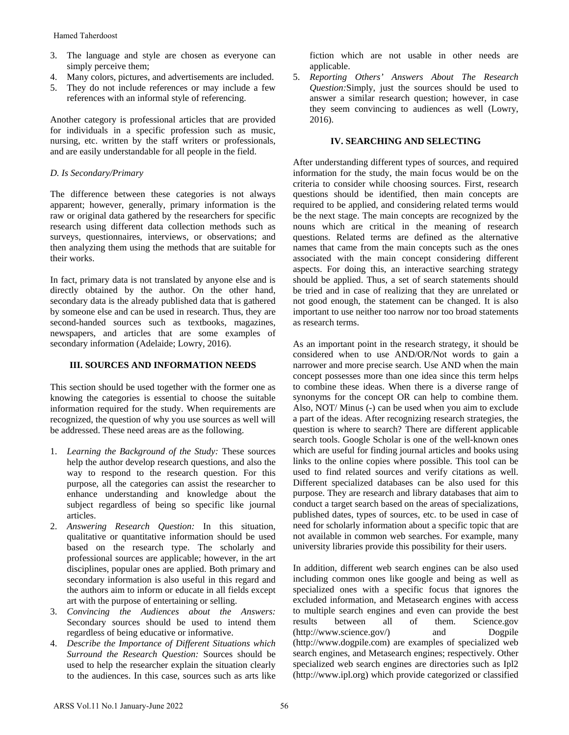- 3. The language and style are chosen as everyone can simply perceive them;
- 4. Many colors, pictures, and advertisements are included.
- 5. They do not include references or may include a few references with an informal style of referencing.

Another category is professional articles that are provided for individuals in a specific profession such as music, nursing, etc. written by the staff writers or professionals, and are easily understandable for all people in the field.

# *D. Is Secondary/Primary*

The difference between these categories is not always apparent; however, generally, primary information is the raw or original data gathered by the researchers for specific research using different data collection methods such as surveys, questionnaires, interviews, or observations; and then analyzing them using the methods that are suitable for their works.

In fact, primary data is not translated by anyone else and is directly obtained by the author. On the other hand, secondary data is the already published data that is gathered by someone else and can be used in research. Thus, they are second-handed sources such as textbooks, magazines, newspapers, and articles that are some examples of secondary information (Adelaide; Lowry, 2016).

# **III. SOURCES AND INFORMATION NEEDS**

This section should be used together with the former one as knowing the categories is essential to choose the suitable information required for the study. When requirements are recognized, the question of why you use sources as well will be addressed. These need areas are as the following.

- 1. *Learning the Background of the Study:* These sources help the author develop research questions, and also the way to respond to the research question. For this purpose, all the categories can assist the researcher to enhance understanding and knowledge about the subject regardless of being so specific like journal articles.
- 2. *Answering Research Question:* In this situation, qualitative or quantitative information should be used based on the research type. The scholarly and professional sources are applicable; however, in the art disciplines, popular ones are applied. Both primary and secondary information is also useful in this regard and the authors aim to inform or educate in all fields except art with the purpose of entertaining or selling. Hamed Tabendoost<br>
imaging and style are chosen as everyone can<br>
imply perceive them;<br>
Many colors, pictures, and advertisements are included.<br>
A Many colors, pictures, and advertisements are included<br>
in They do not inclu
- 3. *Convincing the Audiences about the Answers:* Secondary sources should be used to intend them regardless of being educative or informative.
- 4. *Describe the Importance of Different Situations which Surround the Research Question:* Sources should be used to help the researcher explain the situation clearly to the audiences. In this case, sources such as arts like

fiction which are not usable in other needs are applicable.

5. *Reporting Others' Answers About The Research Question:*Simply, just the sources should be used to answer a similar research question; however, in case they seem convincing to audiences as well (Lowry, 2016).

# **IV. SEARCHING AND SELECTING**

After understanding different types of sources, and required information for the study, the main focus would be on the criteria to consider while choosing sources. First, research questions should be identified, then main concepts are required to be applied, and considering related terms would be the next stage. The main concepts are recognized by the nouns which are critical in the meaning of research questions. Related terms are defined as the alternative names that came from the main concepts such as the ones associated with the main concept considering different aspects. For doing this, an interactive searching strategy should be applied. Thus, a set of search statements should be tried and in case of realizing that they are unrelated or not good enough, the statement can be changed. It is also important to use neither too narrow nor too broad statements as research terms.

As an important point in the research strategy, it should be considered when to use AND/OR/Not words to gain a narrower and more precise search. Use AND when the main concept possesses more than one idea since this term helps to combine these ideas. When there is a diverse range of synonyms for the concept OR can help to combine them. Also, NOT/ Minus (-) can be used when you aim to exclude a part of the ideas. After recognizing research strategies, the question is where to search? There are different applicable search tools. Google Scholar is one of the well-known ones which are useful for finding journal articles and books using links to the online copies where possible. This tool can be used to find related sources and verify citations as well. Different specialized databases can be also used for this purpose. They are research and library databases that aim to conduct a target search based on the areas of specializations, published dates, types of sources, etc. to be used in case of need for scholarly information about a specific topic that are not available in common web searches. For example, many university libraries provide this possibility for their users.

In addition, different web search engines can be also used including common ones like google and being as well as specialized ones with a specific focus that ignores the excluded information, and Metasearch engines with access to multiple search engines and even can provide the best results between all of them. Science.gov [\(http://www.science.gov/\)](http://www.science.gov/) and Dogpile (http://www.dogpile.com) are examples of specialized web search engines, and Metasearch engines; respectively. Other specialized web search engines are directories such as Ipl2 [\(http://www.ipl.org\)](http://www.ipl.org/) which provide categorized or classified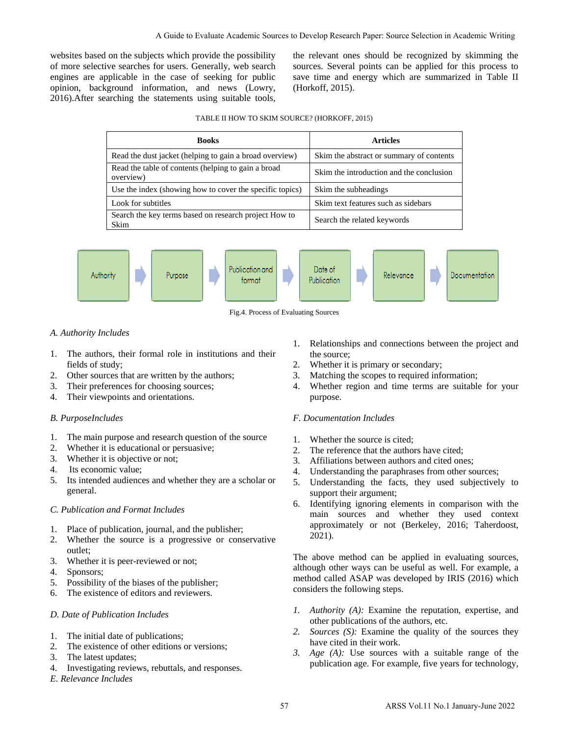websites based on the subjects which provide the possibility of more selective searches for users. Generally, web search engines are applicable in the case of seeking for public opinion, background information, and news (Lowry, 2016).After searching the statements using suitable tools,

#### TABLE II HOW TO SKIM SOURCE? (HORKOFF, 2015)

|                                                                                                                                                                                                                                                                                                                         |                                  | A Guide to Evaluate Academic Sources to Develop Research Paper: Source Selection in Academic Writing                                                                                                                                                                                                                                                                                                                                                |  |  |  |  |
|-------------------------------------------------------------------------------------------------------------------------------------------------------------------------------------------------------------------------------------------------------------------------------------------------------------------------|----------------------------------|-----------------------------------------------------------------------------------------------------------------------------------------------------------------------------------------------------------------------------------------------------------------------------------------------------------------------------------------------------------------------------------------------------------------------------------------------------|--|--|--|--|
| d on the subjects which provide the possibility<br>tive searches for users. Generally, web search<br>applicable in the case of seeking for public<br>kground information, and news (Lowry,<br>earching the statements using suitable tools,                                                                             |                                  | the relevant ones should be recognized by skimming the<br>sources. Several points can be applied for this process to<br>save time and energy which are summarized in Table I<br>(Horkoff, 2015).                                                                                                                                                                                                                                                    |  |  |  |  |
| TABLE II HOW TO SKIM SOURCE? (HORKOFF, 2015)                                                                                                                                                                                                                                                                            |                                  |                                                                                                                                                                                                                                                                                                                                                                                                                                                     |  |  |  |  |
| <b>Books</b>                                                                                                                                                                                                                                                                                                            |                                  | <b>Articles</b>                                                                                                                                                                                                                                                                                                                                                                                                                                     |  |  |  |  |
| Read the dust jacket (helping to gain a broad overview)                                                                                                                                                                                                                                                                 |                                  | Skim the abstract or summary of contents                                                                                                                                                                                                                                                                                                                                                                                                            |  |  |  |  |
| Read the table of contents (helping to gain a broad<br>overview)                                                                                                                                                                                                                                                        |                                  | Skim the introduction and the conclusion                                                                                                                                                                                                                                                                                                                                                                                                            |  |  |  |  |
| Use the index (showing how to cover the specific topics)                                                                                                                                                                                                                                                                |                                  | Skim the subheadings                                                                                                                                                                                                                                                                                                                                                                                                                                |  |  |  |  |
| Look for subtitles                                                                                                                                                                                                                                                                                                      |                                  | Skim text features such as sidebars                                                                                                                                                                                                                                                                                                                                                                                                                 |  |  |  |  |
| Search the key terms based on research project How to<br>Skim                                                                                                                                                                                                                                                           |                                  | Search the related keywords                                                                                                                                                                                                                                                                                                                                                                                                                         |  |  |  |  |
| Publication and<br>Purpose<br>hority<br>format                                                                                                                                                                                                                                                                          |                                  | Date of<br>Relevance<br>Documentation<br>Publication                                                                                                                                                                                                                                                                                                                                                                                                |  |  |  |  |
| Fig.4. Process of Evaluating Sources                                                                                                                                                                                                                                                                                    |                                  |                                                                                                                                                                                                                                                                                                                                                                                                                                                     |  |  |  |  |
| ncludes<br>ors, their formal role in institutions and their<br>study;<br>arces that are written by the authors;<br>ferences for choosing sources;<br>wpoints and orientations.<br>$x$ ludes<br>purpose and research question of the source<br>it is educational or persuasive;<br>it is objective or not;<br>mic value; | 1.<br>2.<br>3.<br>4.<br>3.<br>4. | Relationships and connections between the project and<br>the source;<br>Whether it is primary or secondary;<br>Matching the scopes to required information;<br>Whether region and time terms are suitable for you<br>purpose.<br>F. Documentation Includes<br>1. Whether the source is cited;<br>2. The reference that the authors have cited;<br>Affiliations between authors and cited ones;<br>Understanding the paraphrases from other sources; |  |  |  |  |
| ed audiences and whether they are a scholar or<br>n and Format Includes                                                                                                                                                                                                                                                 | 5.<br>6.                         | Understanding the facts, they used subjectively to<br>support their argument;<br>Identifying ignoring elements in comparison with th<br>main sources and whether they used contex                                                                                                                                                                                                                                                                   |  |  |  |  |
| publication, journal, and the publisher;<br>the source is a progressive or conservative                                                                                                                                                                                                                                 |                                  | approximately or not (Berkeley, 2016; Taherdoos<br>2021).                                                                                                                                                                                                                                                                                                                                                                                           |  |  |  |  |
| it is peer-reviewed or not;<br>y of the biases of the publisher;<br>ence of editors and reviewers.                                                                                                                                                                                                                      |                                  | The above method can be applied in evaluating sources<br>although other ways can be useful as well. For example,<br>method called ASAP was developed by IRIS (2016) which<br>considers the following steps.                                                                                                                                                                                                                                         |  |  |  |  |
| blication Includes<br>al date of publications;<br>ence of other editions or versions;<br>t updates;<br>ting reviews, rebuttals, and responses.                                                                                                                                                                          | 2.<br>3.                         | <i>1. Authority (A):</i> Examine the reputation, expertise, and<br>other publications of the authors, etc.<br>Sources (S): Examine the quality of the sources the<br>have cited in their work.<br>Age (A): Use sources with a suitable range of th<br>publication age. For example, five years for technology                                                                                                                                       |  |  |  |  |
| Includes<br>57                                                                                                                                                                                                                                                                                                          |                                  | ARSS Vol.11 No.1 January-June 2022                                                                                                                                                                                                                                                                                                                                                                                                                  |  |  |  |  |





## *A. Authority Includes*

- 1. The authors, their formal role in institutions and their fields of study;
- 2. Other sources that are written by the authors;
- 3. Their preferences for choosing sources;
- 4. Their viewpoints and orientations.

#### *B. PurposeIncludes*

- 1. The main purpose and research question of the source
- 2. Whether it is educational or persuasive;
- 3. Whether it is objective or not;
- 4. Its economic value;
- 5. Its intended audiences and whether they are a scholar or general.

# *C. Publication and Format Includes*

- 1. Place of publication, journal, and the publisher;
- 2. Whether the source is a progressive or conservative outlet;
- 3. Whether it is peer-reviewed or not;
- 4. Sponsors;
- 5. Possibility of the biases of the publisher;
- 6. The existence of editors and reviewers.

#### *D. Date of Publication Includes*

- 1. The initial date of publications;
- 2. The existence of other editions or versions;
- 3. The latest updates;
- 4. Investigating reviews, rebuttals, and responses.
- *E. Relevance Includes*
- 1. Relationships and connections between the project and the source;
- 2. Whether it is primary or secondary;
- 3. Matching the scopes to required information;
- 4. Whether region and time terms are suitable for your purpose.

#### *F. Documentation Includes*

- 1. Whether the source is cited;
- 2. The reference that the authors have cited;
- 3. Affiliations between authors and cited ones;
- 4. Understanding the paraphrases from other sources;
- 5. Understanding the facts, they used subjectively to support their argument;
- 6. Identifying ignoring elements in comparison with the main sources and whether they used context approximately or not (Berkeley, 2016; Taherdoost, 2021).

- *1. Authority (A):* Examine the reputation, expertise, and other publications of the authors, etc.
- *2. Sources (S):* Examine the quality of the sources they have cited in their work.
- *3. Age (A):* Use sources with a suitable range of the publication age. For example, five years for technology,